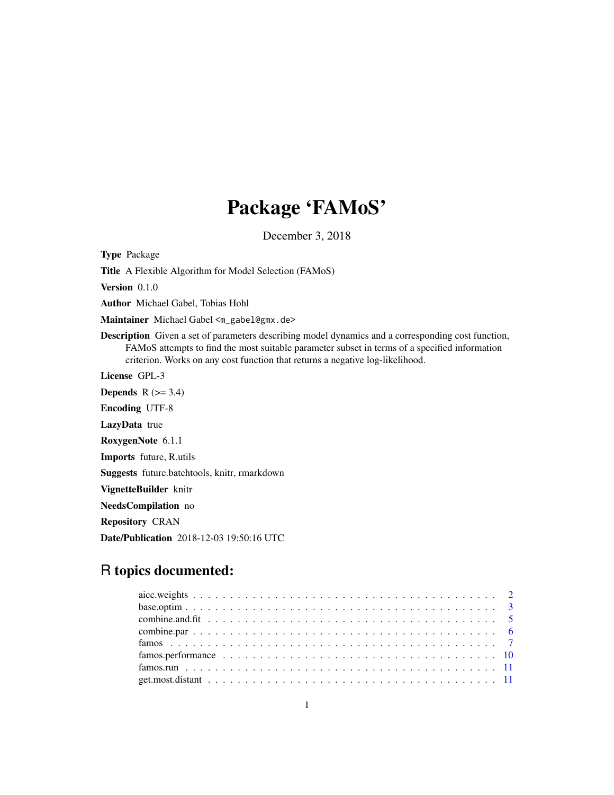# Package 'FAMoS'

December 3, 2018

<span id="page-0-0"></span>Type Package

Title A Flexible Algorithm for Model Selection (FAMoS)

Version 0.1.0

Author Michael Gabel, Tobias Hohl

Maintainer Michael Gabel <m\_gabel@gmx.de>

Description Given a set of parameters describing model dynamics and a corresponding cost function, FAMoS attempts to find the most suitable parameter subset in terms of a specified information criterion. Works on any cost function that returns a negative log-likelihood.

License GPL-3

**Depends**  $R$  ( $>= 3.4$ ) Encoding UTF-8 LazyData true RoxygenNote 6.1.1 Imports future, R.utils Suggests future.batchtools, knitr, rmarkdown VignetteBuilder knitr NeedsCompilation no

Repository CRAN

Date/Publication 2018-12-03 19:50:16 UTC

# R topics documented: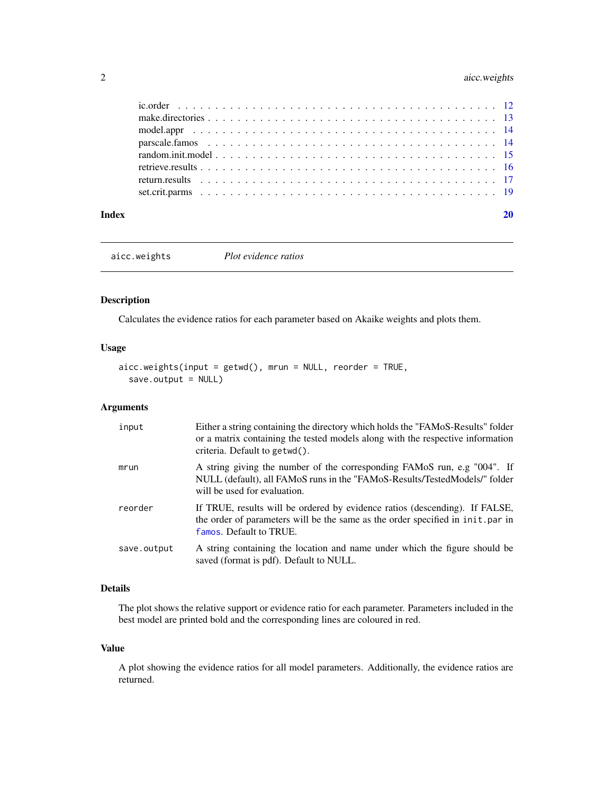# <span id="page-1-0"></span>2 aicc.weights

| Index |  |  |  |  |  |  |  |  |  |  |  |  |  |  |  |  |  |  |
|-------|--|--|--|--|--|--|--|--|--|--|--|--|--|--|--|--|--|--|

aicc.weights *Plot evidence ratios*

# Description

Calculates the evidence ratios for each parameter based on Akaike weights and plots them.

# Usage

```
aicc.weights(input = getwd(), mrun = NULL, reorder = TRUE,
  save.output = NULL)
```
# Arguments

| input       | Either a string containing the directory which holds the "FAMoS-Results" folder<br>or a matrix containing the tested models along with the respective information<br>criteria. Default to getwd(). |
|-------------|----------------------------------------------------------------------------------------------------------------------------------------------------------------------------------------------------|
| mrun        | A string giving the number of the corresponding FAMoS run, e.g "004". If<br>NULL (default), all FAMoS runs in the "FAMoS-Results/TestedModels/" folder<br>will be used for evaluation.             |
| reorder     | If TRUE, results will be ordered by evidence ratios (descending). If FALSE,<br>the order of parameters will be the same as the order specified in init. par in<br>famos. Default to TRUE.          |
| save.output | A string containing the location and name under which the figure should be<br>saved (format is pdf). Default to NULL.                                                                              |

# Details

The plot shows the relative support or evidence ratio for each parameter. Parameters included in the best model are printed bold and the corresponding lines are coloured in red.

# Value

A plot showing the evidence ratios for all model parameters. Additionally, the evidence ratios are returned.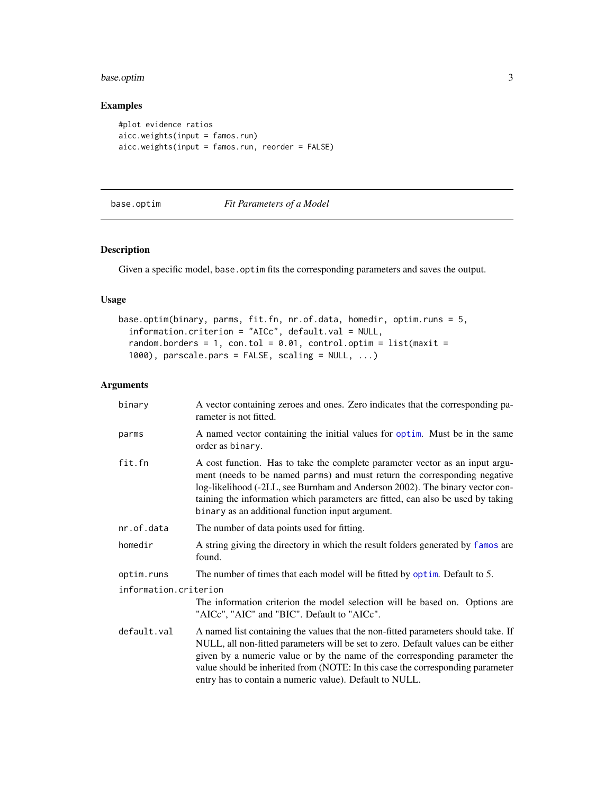# <span id="page-2-0"></span>base.optim 3

# Examples

```
#plot evidence ratios
aicc.weights(input = famos.run)
aicc.weights(input = famos.run, reorder = FALSE)
```
# base.optim *Fit Parameters of a Model*

# Description

Given a specific model, base.optim fits the corresponding parameters and saves the output.

# Usage

```
base.optim(binary, parms, fit.fn, nr.of.data, homedir, optim.runs = 5,
  information.criterion = "AICc", default.val = NULL,
  random.borders = 1, con.tol = 0.01, control.optim = list(maxit =
  1000), parscale.pars = FALSE, scaling = NULL, ...)
```

| binarv                | A vector containing zeroes and ones. Zero indicates that the corresponding pa-<br>rameter is not fitted.                                                                                                                                                                                                                                                                                          |
|-----------------------|---------------------------------------------------------------------------------------------------------------------------------------------------------------------------------------------------------------------------------------------------------------------------------------------------------------------------------------------------------------------------------------------------|
| parms                 | A named vector containing the initial values for optim. Must be in the same<br>order as binary.                                                                                                                                                                                                                                                                                                   |
| fit.fn                | A cost function. Has to take the complete parameter vector as an input argu-<br>ment (needs to be named parms) and must return the corresponding negative<br>log-likelihood (-2LL, see Burnham and Anderson 2002). The binary vector con-<br>taining the information which parameters are fitted, can also be used by taking<br>binary as an additional function input argument.                  |
| nr.of.data            | The number of data points used for fitting.                                                                                                                                                                                                                                                                                                                                                       |
| homedir               | A string giving the directory in which the result folders generated by famos are<br>found.                                                                                                                                                                                                                                                                                                        |
| optim.runs            | The number of times that each model will be fitted by optim. Default to 5.                                                                                                                                                                                                                                                                                                                        |
| information.criterion |                                                                                                                                                                                                                                                                                                                                                                                                   |
|                       | The information criterion the model selection will be based on. Options are<br>"AICc", "AIC" and "BIC". Default to "AICc".                                                                                                                                                                                                                                                                        |
| default.val           | A named list containing the values that the non-fitted parameters should take. If<br>NULL, all non-fitted parameters will be set to zero. Default values can be either<br>given by a numeric value or by the name of the corresponding parameter the<br>value should be inherited from (NOTE: In this case the corresponding parameter<br>entry has to contain a numeric value). Default to NULL. |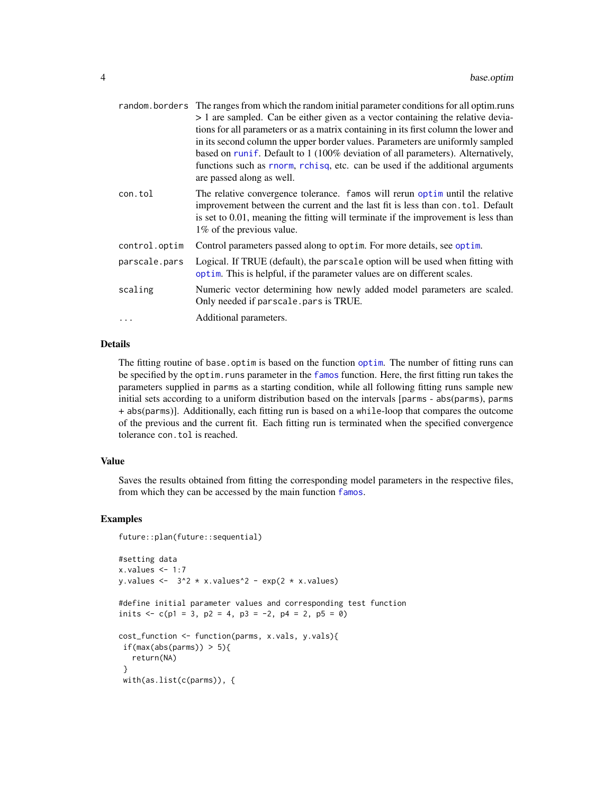<span id="page-3-0"></span>

|               | random. borders The ranges from which the random initial parameter conditions for all optim.runs           |
|---------------|------------------------------------------------------------------------------------------------------------|
|               | > 1 are sampled. Can be either given as a vector containing the relative devia-                            |
|               | tions for all parameters or as a matrix containing in its first column the lower and                       |
|               | in its second column the upper border values. Parameters are uniformly sampled                             |
|               | based on runif. Default to 1 (100% deviation of all parameters). Alternatively,                            |
|               | functions such as rnorm, rchisq, etc. can be used if the additional arguments<br>are passed along as well. |
| con.tol       | The relative convergence tolerance. famos will rerun optim until the relative                              |
|               | improvement between the current and the last fit is less than con. tol. Default                            |
|               | is set to $0.01$ , meaning the fitting will terminate if the improvement is less than                      |
|               | 1% of the previous value.                                                                                  |
| control.optim | Control parameters passed along to optim. For more details, see optim.                                     |
| parscale.pars | Logical. If TRUE (default), the parscale option will be used when fitting with                             |
|               | optim. This is helpful, if the parameter values are on different scales.                                   |
| scaling       | Numeric vector determining how newly added model parameters are scaled.                                    |
|               | Only needed if parscale.pars is TRUE.                                                                      |
| $\ddots$      | Additional parameters.                                                                                     |
|               |                                                                                                            |

# Details

The fitting routine of base.optim is based on the function [optim](#page-0-0). The number of fitting runs can be specified by the optim.runs parameter in the [famos](#page-6-1) function. Here, the first fitting run takes the parameters supplied in parms as a starting condition, while all following fitting runs sample new initial sets according to a uniform distribution based on the intervals [parms - abs(parms), parms + abs(parms)]. Additionally, each fitting run is based on a while-loop that compares the outcome of the previous and the current fit. Each fitting run is terminated when the specified convergence tolerance con.tol is reached.

#### Value

Saves the results obtained from fitting the corresponding model parameters in the respective files, from which they can be accessed by the main function [famos](#page-6-1).

```
future::plan(future::sequential)
#setting data
x.values < -1:7y.values <- 3^2 \times x.values^2 - exp(2 * x.values)
#define initial parameter values and corresponding test function
inits \langle -c(p_1) = 3, p_2 = 4, p_3 = -2, p_4 = 2, p_5 = 0 \ranglecost_function <- function(parms, x.vals, y.vals){
if(max(abs(parms)) > 5){
  return(NA)
}
with(as.list(c(parms)), {
```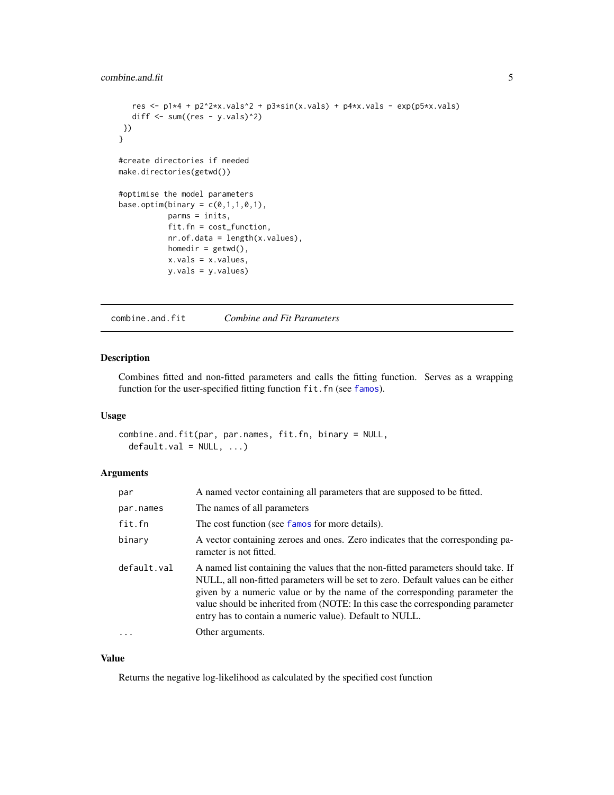# <span id="page-4-0"></span>combine.and.fit 5

```
res <- p1*4 + p2^2*x.yals^2 + p3*sin(x.yals) + p4*x.yals - exp(p5*x.yals)diff \leq sum((res - y.vals)^2)
})
}
#create directories if needed
make.directories(getwd())
#optimise the model parameters
base.optim(binary = c(0,1,1,0,1),
           parms = inits,
           fit.fn = cost_function,
           nr.of.data = length(x.values),
           homedir = getwd(),
           x.vals = x.values,
           y.vals = y.values)
```
combine.and.fit *Combine and Fit Parameters*

# Description

Combines fitted and non-fitted parameters and calls the fitting function. Serves as a wrapping function for the user-specified fitting function fit.fn (see [famos](#page-6-1)).

#### Usage

combine.and.fit(par, par.names, fit.fn, binary = NULL,  $default.val = NULL, ...)$ 

#### Arguments

| par         | A named vector containing all parameters that are supposed to be fitted.                                                                                                                                                                                                                                                                                                                          |
|-------------|---------------------------------------------------------------------------------------------------------------------------------------------------------------------------------------------------------------------------------------------------------------------------------------------------------------------------------------------------------------------------------------------------|
| par.names   | The names of all parameters                                                                                                                                                                                                                                                                                                                                                                       |
| fit.fn      | The cost function (see famos for more details).                                                                                                                                                                                                                                                                                                                                                   |
| binary      | A vector containing zeroes and ones. Zero indicates that the corresponding pa-<br>rameter is not fitted.                                                                                                                                                                                                                                                                                          |
| default.val | A named list containing the values that the non-fitted parameters should take. If<br>NULL, all non-fitted parameters will be set to zero. Default values can be either<br>given by a numeric value or by the name of the corresponding parameter the<br>value should be inherited from (NOTE: In this case the corresponding parameter<br>entry has to contain a numeric value). Default to NULL. |
| $\cdot$     | Other arguments.                                                                                                                                                                                                                                                                                                                                                                                  |

### Value

Returns the negative log-likelihood as calculated by the specified cost function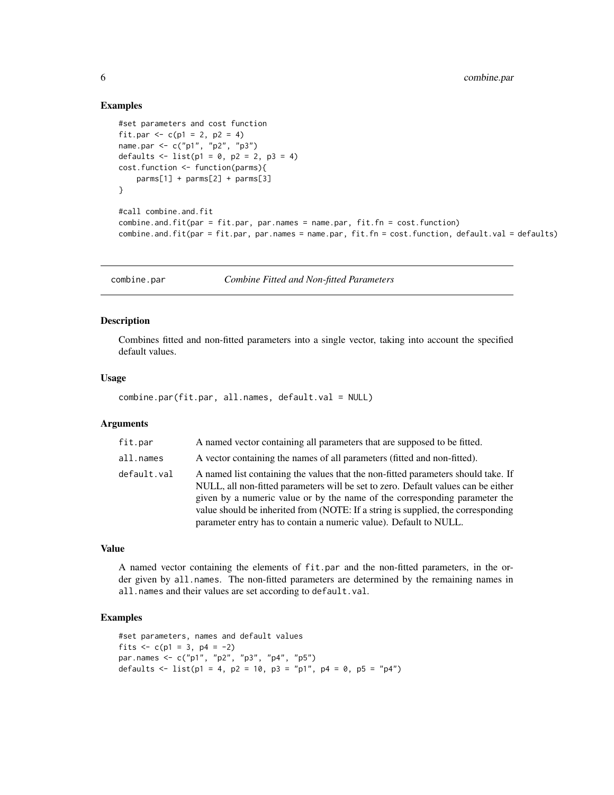#### Examples

```
#set parameters and cost function
fit.par <- c(p1 = 2, p2 = 4)
name.par <- c("p1", "p2", "p3")
defaults \le list(p1 = 0, p2 = 2, p3 = 4)
cost.function <- function(parms){
    parms[1] + parms[2] + parms[3]
}
#call combine.and.fit
combine.and.fit(par = fit.par, par.names = name.par, fit.fn = cost.function)
combine.and.fit(par = fit.par, par.names = name.par, fit.fn = cost.function, default.val = defaults)
```
combine.par *Combine Fitted and Non-fitted Parameters*

#### Description

Combines fitted and non-fitted parameters into a single vector, taking into account the specified default values.

#### Usage

combine.par(fit.par, all.names, default.val = NULL)

#### Arguments

| fit.par     | A named vector containing all parameters that are supposed to be fitted.                                                                                                                                                                                                                                                                                                                                      |
|-------------|---------------------------------------------------------------------------------------------------------------------------------------------------------------------------------------------------------------------------------------------------------------------------------------------------------------------------------------------------------------------------------------------------------------|
| all.names   | A vector containing the names of all parameters (fitted and non-fitted).                                                                                                                                                                                                                                                                                                                                      |
| default.val | A named list containing the values that the non-fitted parameters should take. If<br>NULL, all non-fitted parameters will be set to zero. Default values can be either<br>given by a numeric value or by the name of the corresponding parameter the<br>value should be inherited from (NOTE: If a string is supplied, the corresponding<br>parameter entry has to contain a numeric value). Default to NULL. |

#### Value

A named vector containing the elements of fit.par and the non-fitted parameters, in the order given by all.names. The non-fitted parameters are determined by the remaining names in all.names and their values are set according to default.val.

```
#set parameters, names and default values
fits \langle -c(p_1) = 3, p_4 = -2 \ranglepar.names <- c("p1", "p2", "p3", "p4", "p5")
defaults <- list(p1 = 4, p2 = 10, p3 = "p1", p4 = 0, p5 = "p4")
```
<span id="page-5-0"></span>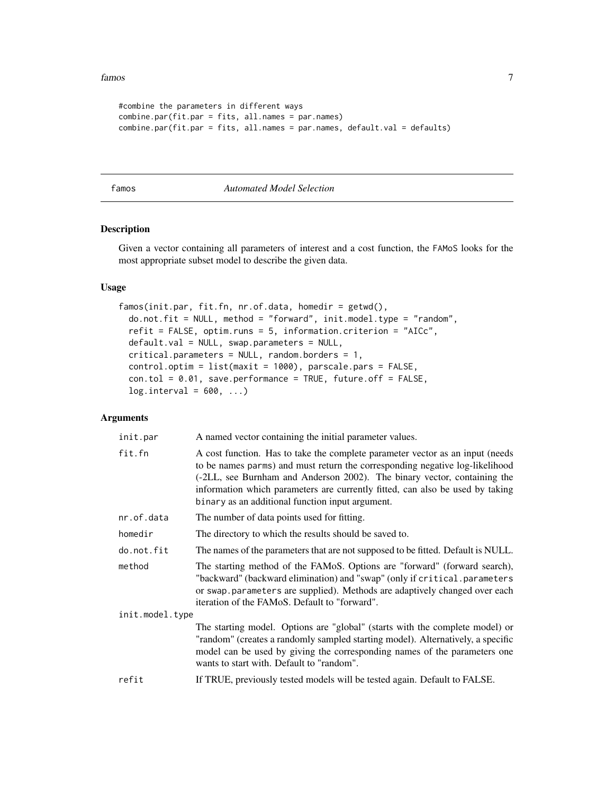#### <span id="page-6-0"></span>famos **7**

```
#combine the parameters in different ways
combine.par(fit.par = fits, all.names = par.names)
combine.par(fit.par = fits, all.names = par.names, default.val = defaults)
```
#### <span id="page-6-1"></span>famos *Automated Model Selection*

# Description

Given a vector containing all parameters of interest and a cost function, the FAMoS looks for the most appropriate subset model to describe the given data.

# Usage

```
famos(init.par, fit.fn, nr.of.data, homedir = getwd(),
 do.not.fit = NULL, method = "forward", init.model.type = "random",
  refit = FALSE, optim.runs = 5, information.criterion = "AICc",
 default.val = NULL, swap.parameters = NULL,
 critical.parameters = NULL, random.borders = 1,
 control.optim = list(maxit = 1000), parscale.pars = FALSE,
  con.tol = 0.01, save.performance = TRUE, future.off = FALSE,
  log.interval = 600, ...)
```

| init.par        | A named vector containing the initial parameter values.                                                                                                                                                                                                                                                                                                                        |
|-----------------|--------------------------------------------------------------------------------------------------------------------------------------------------------------------------------------------------------------------------------------------------------------------------------------------------------------------------------------------------------------------------------|
| fit.fn          | A cost function. Has to take the complete parameter vector as an input (needs<br>to be names parms) and must return the corresponding negative log-likelihood<br>(-2LL, see Burnham and Anderson 2002). The binary vector, containing the<br>information which parameters are currently fitted, can also be used by taking<br>binary as an additional function input argument. |
| nr.of.data      | The number of data points used for fitting.                                                                                                                                                                                                                                                                                                                                    |
| homedir         | The directory to which the results should be saved to.                                                                                                                                                                                                                                                                                                                         |
| do.not.fit      | The names of the parameters that are not supposed to be fitted. Default is NULL.                                                                                                                                                                                                                                                                                               |
| method          | The starting method of the FAMoS. Options are "forward" (forward search),<br>"backward" (backward elimination) and "swap" (only if critical.parameters<br>or swap.parameters are supplied). Methods are adaptively changed over each<br>iteration of the FAMoS. Default to "forward".                                                                                          |
| init.model.type |                                                                                                                                                                                                                                                                                                                                                                                |
|                 | The starting model. Options are "global" (starts with the complete model) or<br>"random" (creates a randomly sampled starting model). Alternatively, a specific<br>model can be used by giving the corresponding names of the parameters one<br>wants to start with. Default to "random".                                                                                      |
| refit           | If TRUE, previously tested models will be tested again. Default to FALSE.                                                                                                                                                                                                                                                                                                      |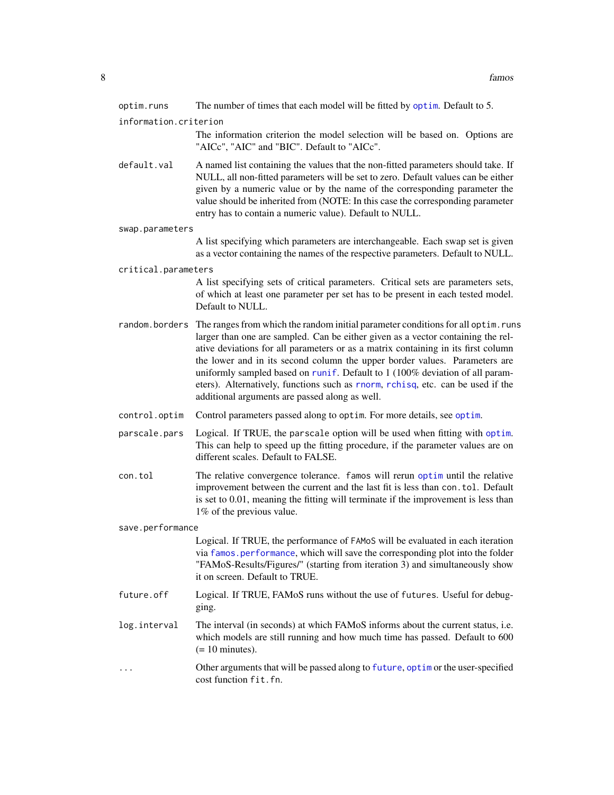<span id="page-7-0"></span>

| optim.runs            | The number of times that each model will be fitted by optim. Default to 5.                                                                                                                                                                                                                                                                                                                                                                                                                                                                                                  |
|-----------------------|-----------------------------------------------------------------------------------------------------------------------------------------------------------------------------------------------------------------------------------------------------------------------------------------------------------------------------------------------------------------------------------------------------------------------------------------------------------------------------------------------------------------------------------------------------------------------------|
| information.criterion | The information criterion the model selection will be based on. Options are<br>"AICc", "AIC" and "BIC". Default to "AICc".                                                                                                                                                                                                                                                                                                                                                                                                                                                  |
| default.val           | A named list containing the values that the non-fitted parameters should take. If<br>NULL, all non-fitted parameters will be set to zero. Default values can be either<br>given by a numeric value or by the name of the corresponding parameter the<br>value should be inherited from (NOTE: In this case the corresponding parameter<br>entry has to contain a numeric value). Default to NULL.                                                                                                                                                                           |
| swap.parameters       |                                                                                                                                                                                                                                                                                                                                                                                                                                                                                                                                                                             |
|                       | A list specifying which parameters are interchangeable. Each swap set is given<br>as a vector containing the names of the respective parameters. Default to NULL.                                                                                                                                                                                                                                                                                                                                                                                                           |
| critical.parameters   |                                                                                                                                                                                                                                                                                                                                                                                                                                                                                                                                                                             |
|                       | A list specifying sets of critical parameters. Critical sets are parameters sets,<br>of which at least one parameter per set has to be present in each tested model.<br>Default to NULL.                                                                                                                                                                                                                                                                                                                                                                                    |
|                       | random.borders The ranges from which the random initial parameter conditions for all optim.runs<br>larger than one are sampled. Can be either given as a vector containing the rel-<br>ative deviations for all parameters or as a matrix containing in its first column<br>the lower and in its second column the upper border values. Parameters are<br>uniformly sampled based on runif. Default to 1 (100% deviation of all param-<br>eters). Alternatively, functions such as rnorm, rchisq, etc. can be used if the<br>additional arguments are passed along as well. |
| control.optim         | Control parameters passed along to optim. For more details, see optim.                                                                                                                                                                                                                                                                                                                                                                                                                                                                                                      |
| parscale.pars         | Logical. If TRUE, the parscale option will be used when fitting with optim.<br>This can help to speed up the fitting procedure, if the parameter values are on<br>different scales. Default to FALSE.                                                                                                                                                                                                                                                                                                                                                                       |
| con.tol               | The relative convergence tolerance. famos will rerun optim until the relative<br>improvement between the current and the last fit is less than con. tol. Default<br>is set to 0.01, meaning the fitting will terminate if the improvement is less than<br>1% of the previous value.                                                                                                                                                                                                                                                                                         |
| save.performance      |                                                                                                                                                                                                                                                                                                                                                                                                                                                                                                                                                                             |
|                       | Logical. If TRUE, the performance of FAMoS will be evaluated in each iteration<br>via famos.performance, which will save the corresponding plot into the folder<br>"FAMoS-Results/Figures/" (starting from iteration 3) and simultaneously show<br>it on screen. Default to TRUE.                                                                                                                                                                                                                                                                                           |
| future.off            | Logical. If TRUE, FAMoS runs without the use of futures. Useful for debug-<br>ging.                                                                                                                                                                                                                                                                                                                                                                                                                                                                                         |
| log.interval          | The interval (in seconds) at which FAMoS informs about the current status, i.e.<br>which models are still running and how much time has passed. Default to 600<br>$(= 10 \text{ minutes}).$                                                                                                                                                                                                                                                                                                                                                                                 |
|                       | Other arguments that will be passed along to future, optim or the user-specified<br>cost function fit.fn.                                                                                                                                                                                                                                                                                                                                                                                                                                                                   |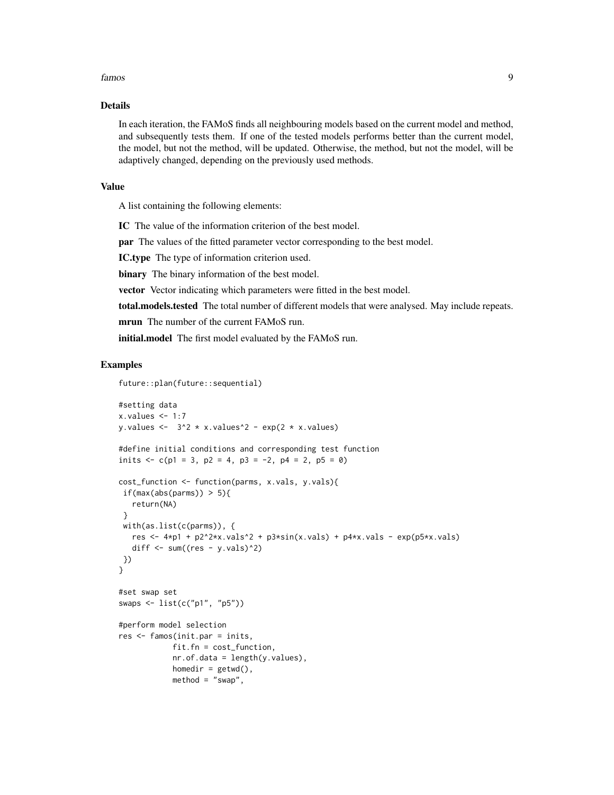#### famos 9

# Details

In each iteration, the FAMoS finds all neighbouring models based on the current model and method, and subsequently tests them. If one of the tested models performs better than the current model, the model, but not the method, will be updated. Otherwise, the method, but not the model, will be adaptively changed, depending on the previously used methods.

#### Value

A list containing the following elements:

IC The value of the information criterion of the best model.

par The values of the fitted parameter vector corresponding to the best model.

IC.type The type of information criterion used.

binary The binary information of the best model.

vector Vector indicating which parameters were fitted in the best model.

total.models.tested The total number of different models that were analysed. May include repeats.

mrun The number of the current FAMoS run.

initial.model The first model evaluated by the FAMoS run.

```
future::plan(future::sequential)
```

```
#setting data
x.values < -1:7y.values \leftarrow 3^2 * x.values^2 - exp(2 * x.values)
#define initial conditions and corresponding test function
inits \langle -c(p_1) = 3, p_2 = 4, p_3 = -2, p_4 = 2, p_5 = 0 \ranglecost_function <- function(parms, x.vals, y.vals){
if(max(abs(parms)) > 5}
   return(NA)
 }
with(as.list(c(parms)), {
  res <- 4*pi + p2^2xx.vals^2 + p3*sin(x.values) + p4*x.values - exp(p5*x.values)diff \le sum((res - y.vals)^2)
})
}
#set swap set
swaps <- list(c("p1", "p5"))
#perform model selection
res <- famos(init.par = inits,
            fit.fn = cost_function,
            nr.of.data = length(y.values),
            homedir = getwd(),
            method = "swap",
```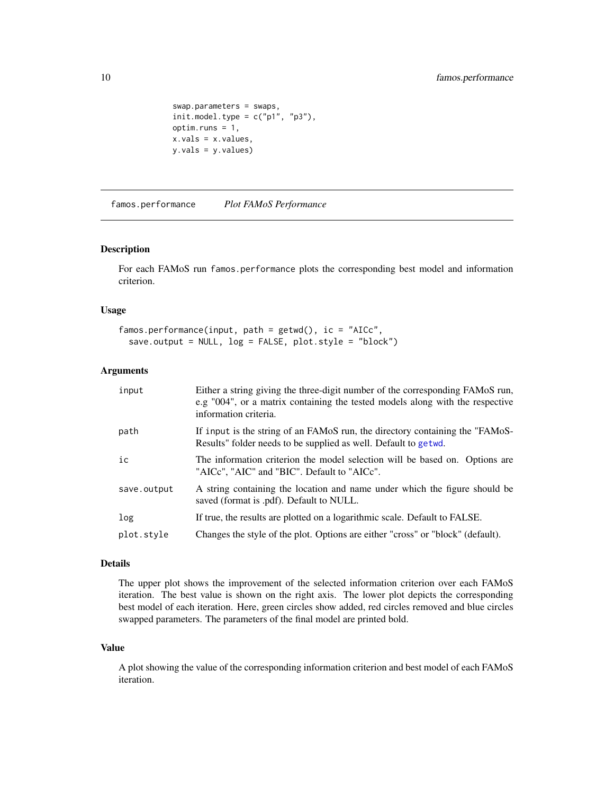```
swap.parameters = swaps,
init.model.type = c("p1", "p3"),
optim.runs = 1,
x.vals = x.values,
y.vals = y.values)
```
<span id="page-9-1"></span>famos.performance *Plot FAMoS Performance*

### Description

For each FAMoS run famos.performance plots the corresponding best model and information criterion.

#### Usage

```
famos.performance(input, path = getwd(), ic = "AICc",
 save.output = NULL, log = FALSE, plot.style = "block")
```
# Arguments

| input       | Either a string giving the three-digit number of the corresponding FAMoS run,<br>e.g "004", or a matrix containing the tested models along with the respective<br>information criteria. |
|-------------|-----------------------------------------------------------------------------------------------------------------------------------------------------------------------------------------|
| path        | If input is the string of an FAMoS run, the directory containing the "FAMoS-<br>Results" folder needs to be supplied as well. Default to getwd.                                         |
| ic          | The information criterion the model selection will be based on. Options are<br>"AICc", "AIC" and "BIC". Default to "AICc".                                                              |
| save.output | A string containing the location and name under which the figure should be<br>saved (format is .pdf). Default to NULL.                                                                  |
| log         | If true, the results are plotted on a logarithmic scale. Default to FALSE.                                                                                                              |
| plot.style  | Changes the style of the plot. Options are either "cross" or "block" (default).                                                                                                         |

#### Details

The upper plot shows the improvement of the selected information criterion over each FAMoS iteration. The best value is shown on the right axis. The lower plot depicts the corresponding best model of each iteration. Here, green circles show added, red circles removed and blue circles swapped parameters. The parameters of the final model are printed bold.

### Value

A plot showing the value of the corresponding information criterion and best model of each FAMoS iteration.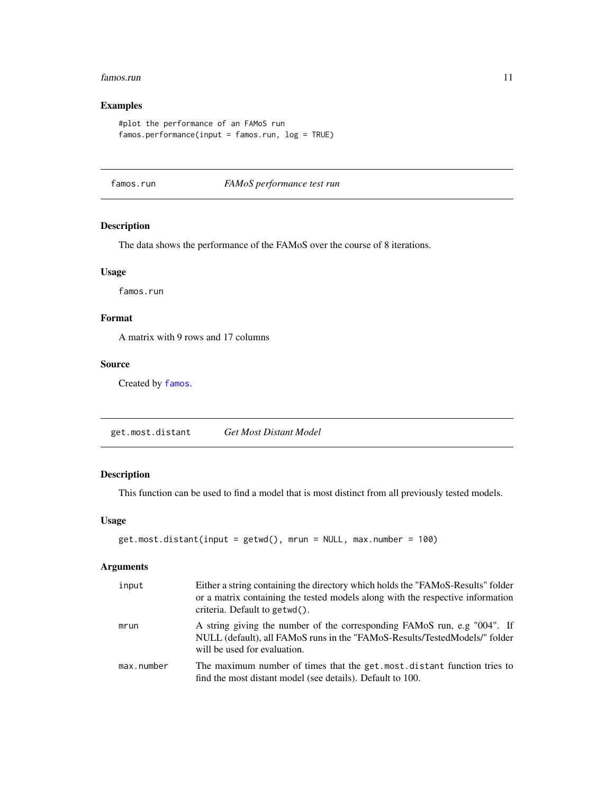#### <span id="page-10-0"></span>famos.run 11

# Examples

```
#plot the performance of an FAMoS run
famos.performance(input = famos.run, log = TRUE)
```
famos.run *FAMoS performance test run*

# Description

The data shows the performance of the FAMoS over the course of 8 iterations.

#### Usage

famos.run

# Format

A matrix with 9 rows and 17 columns

# Source

Created by [famos](#page-6-1).

get.most.distant *Get Most Distant Model*

# Description

This function can be used to find a model that is most distinct from all previously tested models.

#### Usage

```
get.most.distant(input = getwd(), mrun = NULL, max.number = 100)
```

| input      | Either a string containing the directory which holds the "FAMoS-Results" folder<br>or a matrix containing the tested models along with the respective information<br>criteria. Default to getwd(). |
|------------|----------------------------------------------------------------------------------------------------------------------------------------------------------------------------------------------------|
| mrun       | A string giving the number of the corresponding FAMoS run, e.g "004". If<br>NULL (default), all FAMoS runs in the "FAMoS-Results/TestedModels/" folder<br>will be used for evaluation.             |
| max.number | The maximum number of times that the get, most, distant function tries to<br>find the most distant model (see details). Default to 100.                                                            |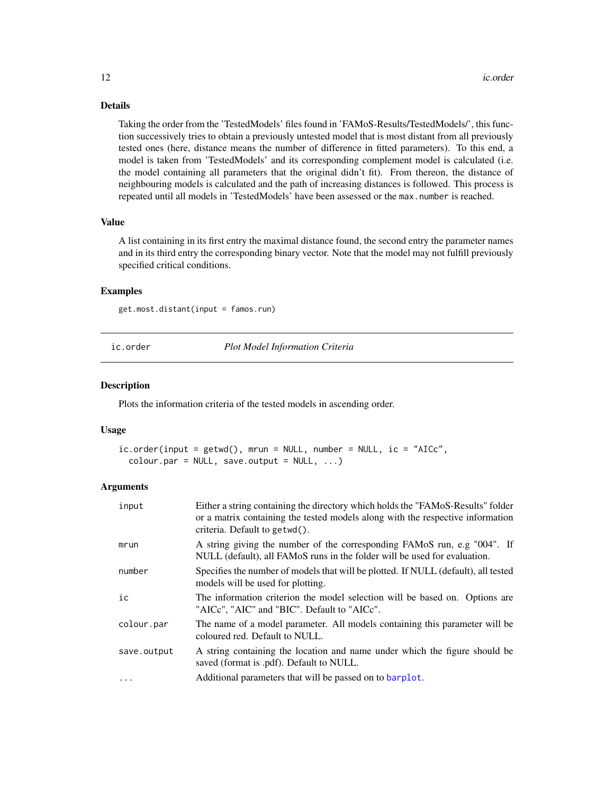# Details

Taking the order from the 'TestedModels' files found in 'FAMoS-Results/TestedModels/', this function successively tries to obtain a previously untested model that is most distant from all previously tested ones (here, distance means the number of difference in fitted parameters). To this end, a model is taken from 'TestedModels' and its corresponding complement model is calculated (i.e. the model containing all parameters that the original didn't fit). From thereon, the distance of neighbouring models is calculated and the path of increasing distances is followed. This process is repeated until all models in 'TestedModels' have been assessed or the max.number is reached.

#### Value

A list containing in its first entry the maximal distance found, the second entry the parameter names and in its third entry the corresponding binary vector. Note that the model may not fulfill previously specified critical conditions.

#### Examples

get.most.distant(input = famos.run)

ic.order *Plot Model Information Criteria*

#### **Description**

Plots the information criteria of the tested models in ascending order.

#### Usage

```
ic.order(input = getwd(), mrun = NULL, number = NULL, ic = "AICc",
  color:open; part = NULL, save.output = NULL, ...
```

| input       | Either a string containing the directory which holds the "FAMoS-Results" folder<br>or a matrix containing the tested models along with the respective information<br>criteria. Default to getwd(). |  |  |  |  |  |
|-------------|----------------------------------------------------------------------------------------------------------------------------------------------------------------------------------------------------|--|--|--|--|--|
| mrun        | A string giving the number of the corresponding FAMoS run, e.g "004". If<br>NULL (default), all FAMoS runs in the folder will be used for evaluation.                                              |  |  |  |  |  |
| number      | Specifies the number of models that will be plotted. If NULL (default), all tested<br>models will be used for plotting.                                                                            |  |  |  |  |  |
| ic          | The information criterion the model selection will be based on. Options are<br>"AICc", "AIC" and "BIC". Default to "AICc".                                                                         |  |  |  |  |  |
| colour.par  | The name of a model parameter. All models containing this parameter will be<br>coloured red. Default to NULL.                                                                                      |  |  |  |  |  |
| save.output | A string containing the location and name under which the figure should be<br>saved (format is .pdf). Default to NULL.                                                                             |  |  |  |  |  |
| $\ddotsc$   | Additional parameters that will be passed on to barplot.                                                                                                                                           |  |  |  |  |  |

<span id="page-11-0"></span>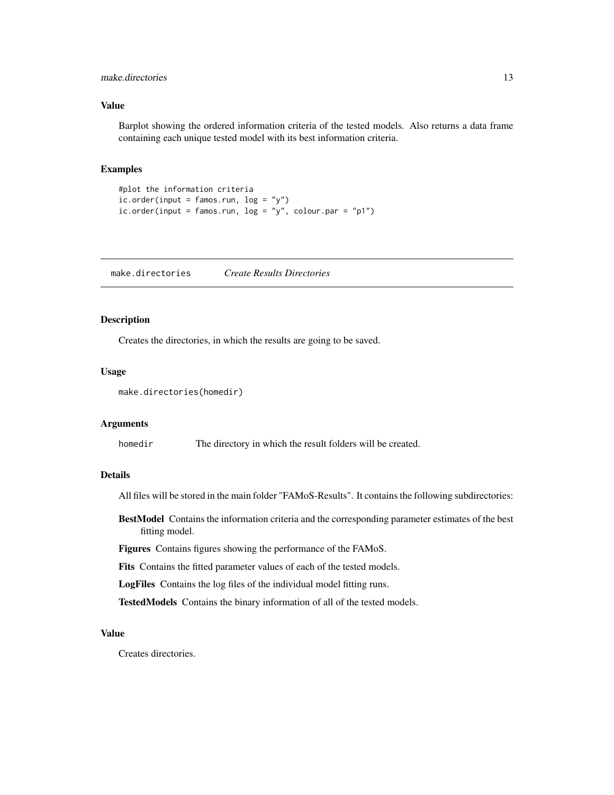### <span id="page-12-0"></span>make.directories 13

#### Value

Barplot showing the ordered information criteria of the tested models. Also returns a data frame containing each unique tested model with its best information criteria.

#### Examples

```
#plot the information criteria
ic.order(input = famos.run, log = "y")ic. order(input = famos.run, log = "y", colour.par = "p1")
```
make.directories *Create Results Directories*

# Description

Creates the directories, in which the results are going to be saved.

#### Usage

```
make.directories(homedir)
```
#### Arguments

homedir The directory in which the result folders will be created.

# Details

All files will be stored in the main folder "FAMoS-Results". It contains the following subdirectories:

BestModel Contains the information criteria and the corresponding parameter estimates of the best fitting model.

Figures Contains figures showing the performance of the FAMoS.

Fits Contains the fitted parameter values of each of the tested models.

LogFiles Contains the log files of the individual model fitting runs.

TestedModels Contains the binary information of all of the tested models.

#### Value

Creates directories.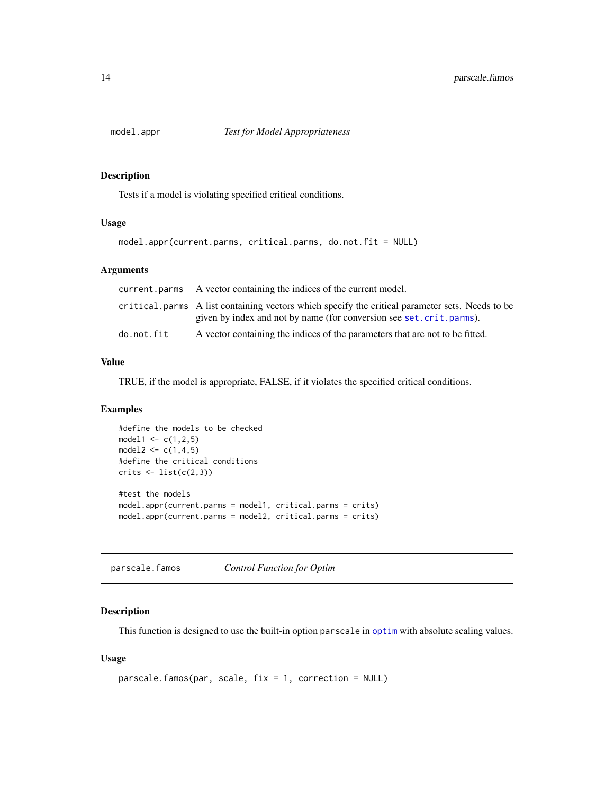<span id="page-13-1"></span><span id="page-13-0"></span>

#### Description

Tests if a model is violating specified critical conditions.

# Usage

```
model.appr(current.parms, critical.parms, do.not.fit = NULL)
```
# Arguments

|            | current parms A vector containing the indices of the current model.                                                                                                    |
|------------|------------------------------------------------------------------------------------------------------------------------------------------------------------------------|
|            | critical parms A list containing vectors which specify the critical parameter sets. Needs to be<br>given by index and not by name (for conversion see set.crit.parms). |
|            |                                                                                                                                                                        |
| do.not.fit | A vector containing the indices of the parameters that are not to be fitted.                                                                                           |

#### Value

TRUE, if the model is appropriate, FALSE, if it violates the specified critical conditions.

# Examples

```
#define the models to be checked
model1 <- c(1, 2, 5)model2 \leq c(1, 4, 5)#define the critical conditions
crits < - list(c(2,3))#test the models
model.appr(current.parms = model1, critical.parms = crits)
model.appr(current.parms = model2, critical.parms = crits)
```
parscale.famos *Control Function for Optim*

#### Description

This function is designed to use the built-in option parscale in [optim](#page-0-0) with absolute scaling values.

# Usage

```
parscale.famos(par, scale, fix = 1, correction = NULL)
```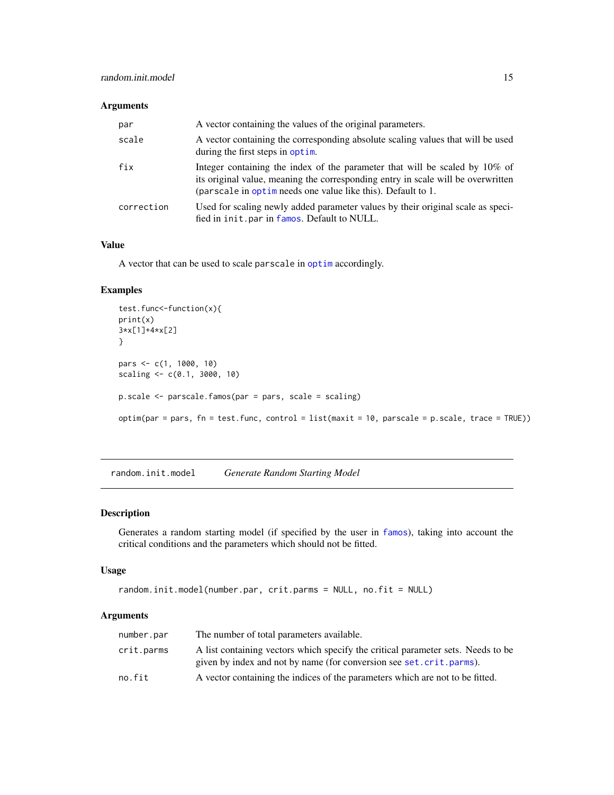# <span id="page-14-0"></span>Arguments

| par        | A vector containing the values of the original parameters.                                                                                                                                                                       |
|------------|----------------------------------------------------------------------------------------------------------------------------------------------------------------------------------------------------------------------------------|
| scale      | A vector containing the corresponding absolute scaling values that will be used<br>during the first steps in optim.                                                                                                              |
| fix        | Integer containing the index of the parameter that will be scaled by 10% of<br>its original value, meaning the corresponding entry in scale will be overwritten<br>(parscale in optime needs one value like this). Default to 1. |
| correction | Used for scaling newly added parameter values by their original scale as speci-<br>fied in init.par in famos. Default to NULL.                                                                                                   |

# Value

A vector that can be used to scale parscale in [optim](#page-0-0) accordingly.

#### Examples

```
test.func<-function(x){
print(x)
3*x[1]+4*x[2]
}
pars <- c(1, 1000, 10)
scaling <- c(0.1, 3000, 10)
p.scale <- parscale.famos(par = pars, scale = scaling)
optim(par = pars, fn = test.func, control = list(maxit = 10, parscale = p.scale, trace = TRUE))
```
random.init.model *Generate Random Starting Model*

# Description

Generates a random starting model (if specified by the user in [famos](#page-6-1)), taking into account the critical conditions and the parameters which should not be fitted.

#### Usage

```
random.init.model(number.par, crit.parms = NULL, no.fit = NULL)
```

| number.par | The number of total parameters available.                                                                                                               |
|------------|---------------------------------------------------------------------------------------------------------------------------------------------------------|
| crit.parms | A list containing vectors which specify the critical parameter sets. Needs to be<br>given by index and not by name (for conversion see set.crit.parms). |
| no.fit     | A vector containing the indices of the parameters which are not to be fitted.                                                                           |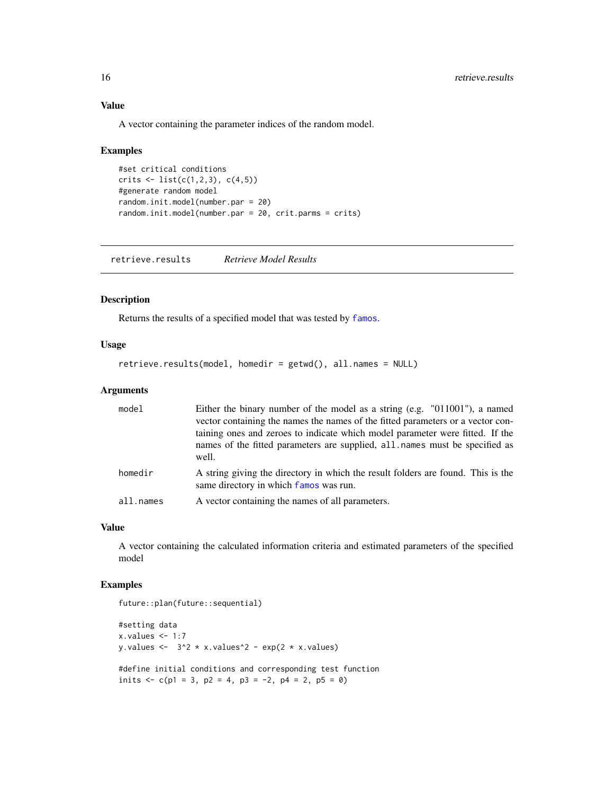# Value

A vector containing the parameter indices of the random model.

#### Examples

```
#set critical conditions
crits \leftarrow list(c(1,2,3), c(4,5))
#generate random model
random.init.model(number.par = 20)
random.init.model(number.par = 20, crit.parms = crits)
```
retrieve.results *Retrieve Model Results*

#### Description

Returns the results of a specified model that was tested by [famos](#page-6-1).

#### Usage

```
retrieve.results(model, homedir = getwd(), all.names = NULL)
```
#### Arguments

| model     | Either the binary number of the model as a string (e.g. $"011001"$ ), a named<br>vector containing the names the names of the fitted parameters or a vector con-<br>taining ones and zeroes to indicate which model parameter were fitted. If the<br>names of the fitted parameters are supplied, all names must be specified as<br>well. |
|-----------|-------------------------------------------------------------------------------------------------------------------------------------------------------------------------------------------------------------------------------------------------------------------------------------------------------------------------------------------|
| homedir   | A string giving the directory in which the result folders are found. This is the<br>same directory in which famos was run.                                                                                                                                                                                                                |
| all.names | A vector containing the names of all parameters.                                                                                                                                                                                                                                                                                          |

#### Value

A vector containing the calculated information criteria and estimated parameters of the specified model

```
future::plan(future::sequential)
```

```
#setting data
x.values < -1:7y.values \leftarrow 3^2 * x.values^2 - exp(2 * x.values)
#define initial conditions and corresponding test function
inits \langle -c(p_1) = 3, p_2 = 4, p_3 = -2, p_4 = 2, p_5 = 0 \rangle
```
<span id="page-15-0"></span>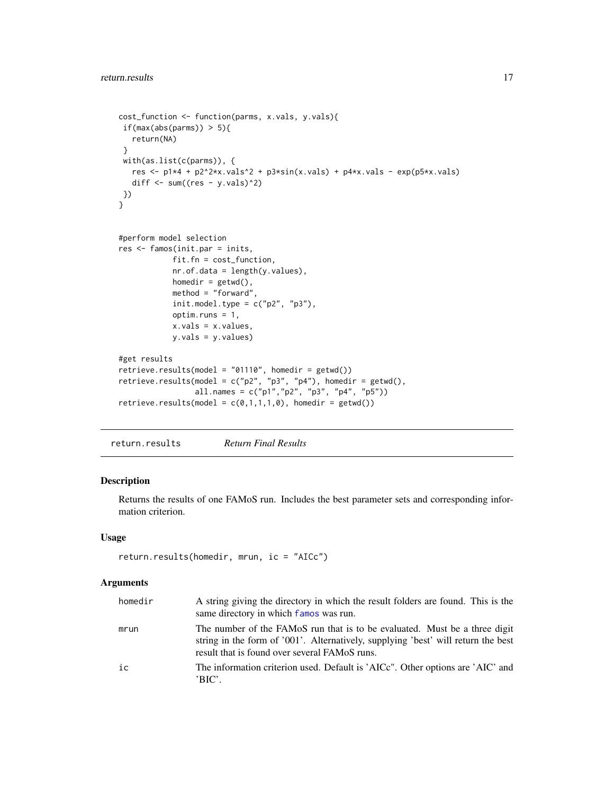```
cost_function <- function(parms, x.vals, y.vals){
 if(max(abs(parms)) > 5){
  return(NA)
 }
 with(as.list(c(parms)), {
  res <- p1*4 + p2^2*x.values^2 + p3*sin(x.values) + p4*x.values - exp(p5*x.values)diff \le sum((res - y.vals)^2)
})
}
#perform model selection
res <- famos(init.par = inits,
            fit.fn = cost_function,
            nr.of.data = length(y.values),
            homedir = getwd(),
            method = "forward",
            init.model.type = c("p2", "p3"),
            optim.runs = 1,
            x.vals = x.values,
            y.vals = y.values)
#get results
retrieve.results(model = "01110", homedir = getwd())
retrieve.results(model = c("p2", "p3", "p4"), homedir = getwd(),
                 all.names = c("p1", "p2", "p3", "p4", "p5"))retrieve.results(model = c(\emptyset,1,1,1,\emptyset), homedir = getwd())
```
return.results *Return Final Results*

# Description

Returns the results of one FAMoS run. Includes the best parameter sets and corresponding information criterion.

#### Usage

```
return.results(homedir, mrun, ic = "AICc")
```

| homedir | A string giving the directory in which the result folders are found. This is the<br>same directory in which famos was run.                                                                                       |
|---------|------------------------------------------------------------------------------------------------------------------------------------------------------------------------------------------------------------------|
| mrun    | The number of the FAMoS run that is to be evaluated. Must be a three digit<br>string in the form of '001'. Alternatively, supplying 'best' will return the best<br>result that is found over several FAMoS runs. |
| ic      | The information criterion used. Default is 'AICc". Other options are 'AIC' and<br>'BIC'.                                                                                                                         |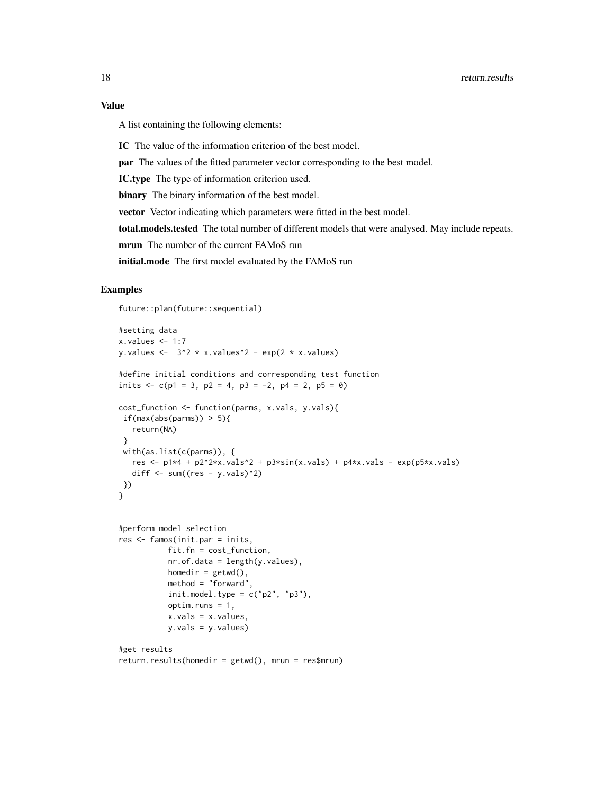# Value

A list containing the following elements:

IC The value of the information criterion of the best model.

par The values of the fitted parameter vector corresponding to the best model.

IC.type The type of information criterion used.

binary The binary information of the best model.

vector Vector indicating which parameters were fitted in the best model.

total.models.tested The total number of different models that were analysed. May include repeats.

mrun The number of the current FAMoS run

initial.mode The first model evaluated by the FAMoS run

#### Examples

future::plan(future::sequential)

```
#setting data
x.values < -1:7y.values <- 3^2 \times x.values^2 - exp(2 * x.values)
#define initial conditions and corresponding test function
inits \langle -c(p_1) = 3, p_2 = 4, p_3 = -2, p_4 = 2, p_5 = 0 \ranglecost_function <- function(parms, x.vals, y.vals){
 if(max(abs(parms)) > 5){
   return(NA)
 }
 with(as.list(c(parms)), {
   res <- p1*4 + p2^2*x.values^2 + p3*sin(x.values) + p4*x.values - exp(p5*x.values)diff \le sum((res - y.vals)^2)
})
}
#perform model selection
res <- famos(init.par = inits,
           fit.fn = cost_function,
           nr.of.data = length(y.values),
           homedir = getwd(),
           method = "forward",
           init.model.type = c("p2", "p3"),
           optim.runs = 1,
           x.vals = x.values,
           y.vals = y.values)
#get results
return.results(homedir = getwd(), mrun = res$mrun)
```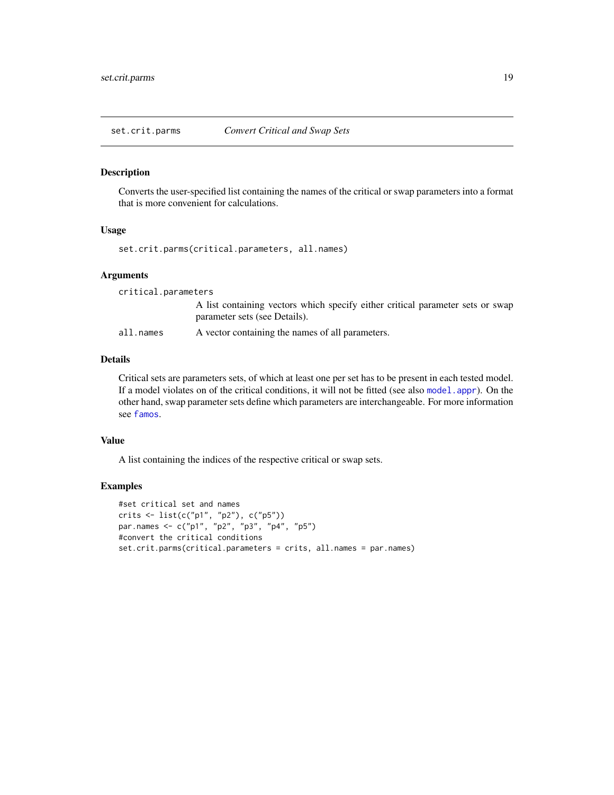<span id="page-18-1"></span><span id="page-18-0"></span>

#### Description

Converts the user-specified list containing the names of the critical or swap parameters into a format that is more convenient for calculations.

#### Usage

set.crit.parms(critical.parameters, all.names)

#### Arguments

critical.parameters A list containing vectors which specify either critical parameter sets or swap parameter sets (see Details). all.names A vector containing the names of all parameters.

# Details

Critical sets are parameters sets, of which at least one per set has to be present in each tested model. If a model violates on of the critical conditions, it will not be fitted (see also [model.appr](#page-13-1)). On the other hand, swap parameter sets define which parameters are interchangeable. For more information see [famos](#page-6-1).

# Value

A list containing the indices of the respective critical or swap sets.

```
#set critical set and names
crits <- list(c("p1", "p2"), c("p5"))
par.names <- c("p1", "p2", "p3", "p4", "p5")
#convert the critical conditions
set.crit.parms(critical.parameters = crits, all.names = par.names)
```